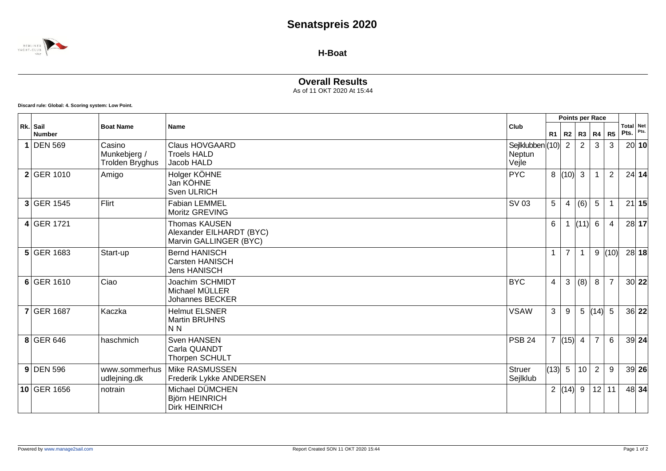## **Senatspreis 2020**



**H-Boat**

## **Overall Results**

As of 11 OKT 2020 At 15:44

**Discard rule: Global: 4. Scoring system: Low Point.**

|  |                           |                                           |                                                                     | Points per Race                           |                      |                |                 |                |                |      |                   |
|--|---------------------------|-------------------------------------------|---------------------------------------------------------------------|-------------------------------------------|----------------------|----------------|-----------------|----------------|----------------|------|-------------------|
|  | Rk. Sail<br><b>Number</b> | <b>Boat Name</b>                          | Name                                                                | Club                                      | R1                   |                | R2   R3   R4    |                | R <sub>5</sub> | Pts. | Total Net<br>Pts. |
|  | $1$ DEN 569               | Casino<br>Munkebjerg /<br>Trolden Bryghus | <b>Claus HOVGAARD</b><br><b>Troels HALD</b><br>Jacob HALD           | Sejlklubben $ (10) $ 2<br>Neptun<br>Vejle |                      |                | $\overline{2}$  | 3              | 3              |      | 20 10             |
|  | 2 GER 1010                | Amigo                                     | Holger KÖHNE<br>Jan KÖHNE<br>Sven ULRICH                            | <b>PYC</b>                                |                      | 8   (10)       | $\mathbf{3}$    |                | $\overline{2}$ |      | $24$ 14           |
|  | 3 GER 1545                | Flirt                                     | <b>Fabian LEMMEL</b><br>Moritz GREVING                              | SV 03                                     | 5                    | 4              | (6)             | 5              |                |      | 21 15             |
|  | $4$ GER 1721              |                                           | Thomas KAUSEN<br>Alexander EILHARDT (BYC)<br>Marvin GALLINGER (BYC) |                                           | 6                    | -1             | (11)            | 6              | 4              |      | 28 17             |
|  | $5$ GER 1683              | Start-up                                  | <b>Bernd HANISCH</b><br>Carsten HANISCH<br><b>Jens HANISCH</b>      |                                           | $\mathbf{1}$         | $\overline{7}$ |                 | 9              | (10)           |      | 28 18             |
|  | 6 GER 1610                | Ciao                                      | Joachim SCHMIDT<br>Michael MÜLLER<br><b>Johannes BECKER</b>         | <b>BYC</b>                                | $\overline{4}$       | 3              | (8)             | 8              | $\overline{7}$ |      | 30 22             |
|  | <b>7 GER 1687</b>         | Kaczka                                    | <b>Helmut ELSNER</b><br><b>Martin BRUHNS</b><br>N <sub>N</sub>      | <b>VSAW</b>                               | 3                    | 9              |                 | 5  (14)  5     |                |      | 36 22             |
|  | 8 GER 646                 | haschmich                                 | Sven HANSEN<br>Carla QUANDT<br>Thorpen SCHULT                       | <b>PSB 24</b>                             | $\overline{7}$       | (15)           | $\overline{4}$  | $\overline{7}$ | 6              |      | 39 24             |
|  | $9$ DEN 596               | www.sommerhus<br>udlejning.dk             | Mike RASMUSSEN<br>Frederik Lykke ANDERSEN                           | <b>Struer</b><br>Sejlklub                 | $\vert (13) \vert 5$ |                | 10 <sup>°</sup> | $\overline{2}$ | $9\,$          |      | 39 26             |
|  | 10 GER 1656               | notrain                                   | Michael DÜMCHEN<br>Björn HEINRICH<br><b>Dirk HEINRICH</b>           |                                           |                      | 2  (14)        | 9               | 12             | 11             |      | 48 34             |